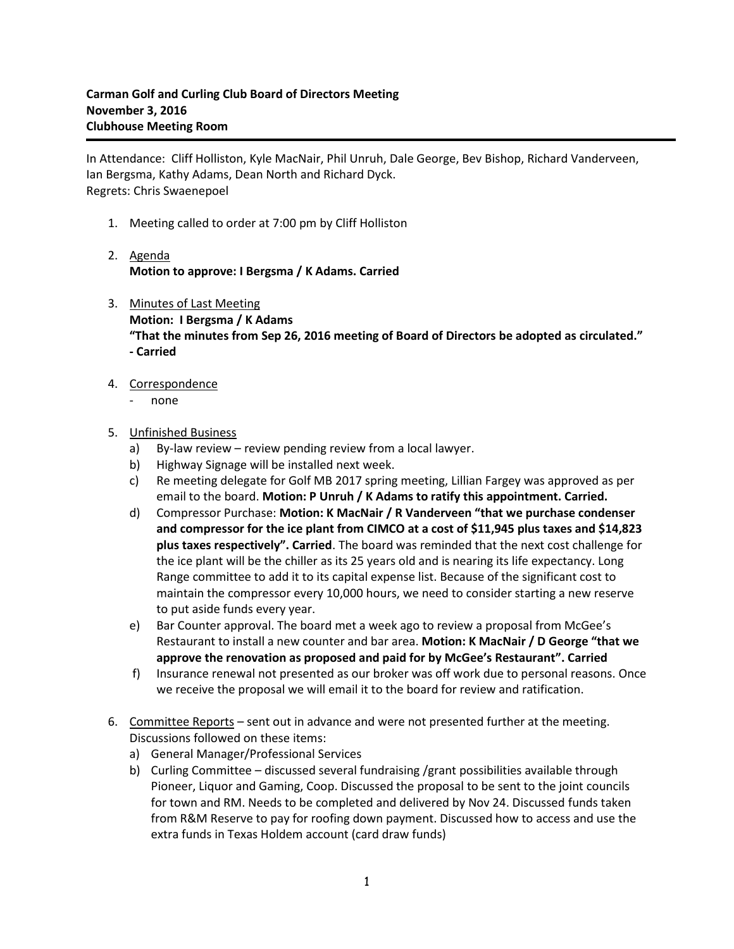In Attendance: Cliff Holliston, Kyle MacNair, Phil Unruh, Dale George, Bev Bishop, Richard Vanderveen, Ian Bergsma, Kathy Adams, Dean North and Richard Dyck. Regrets: Chris Swaenepoel

- 1. Meeting called to order at 7:00 pm by Cliff Holliston
- 2. Agenda **Motion to approve: I Bergsma / K Adams. Carried**
- 3. Minutes of Last Meeting **Motion: I Bergsma / K Adams "That the minutes from Sep 26, 2016 meeting of Board of Directors be adopted as circulated." - Carried**
- 4. Correspondence
	- none

5. Unfinished Business

- a) By-law review review pending review from a local lawyer.
- b) Highway Signage will be installed next week.
- c) Re meeting delegate for Golf MB 2017 spring meeting, Lillian Fargey was approved as per email to the board. **Motion: P Unruh / K Adams to ratify this appointment. Carried.**
- d) Compressor Purchase: **Motion: K MacNair / R Vanderveen "that we purchase condenser and compressor for the ice plant from CIMCO at a cost of \$11,945 plus taxes and \$14,823 plus taxes respectively". Carried**. The board was reminded that the next cost challenge for the ice plant will be the chiller as its 25 years old and is nearing its life expectancy. Long Range committee to add it to its capital expense list. Because of the significant cost to maintain the compressor every 10,000 hours, we need to consider starting a new reserve to put aside funds every year.
- e) Bar Counter approval. The board met a week ago to review a proposal from McGee's Restaurant to install a new counter and bar area. **Motion: K MacNair / D George "that we approve the renovation as proposed and paid for by McGee's Restaurant". Carried**
- f) Insurance renewal not presented as our broker was off work due to personal reasons. Once we receive the proposal we will email it to the board for review and ratification.
- 6. Committee Reports sent out in advance and were not presented further at the meeting. Discussions followed on these items:
	- a) General Manager/Professional Services
	- b) Curling Committee discussed several fundraising /grant possibilities available through Pioneer, Liquor and Gaming, Coop. Discussed the proposal to be sent to the joint councils for town and RM. Needs to be completed and delivered by Nov 24. Discussed funds taken from R&M Reserve to pay for roofing down payment. Discussed how to access and use the extra funds in Texas Holdem account (card draw funds)